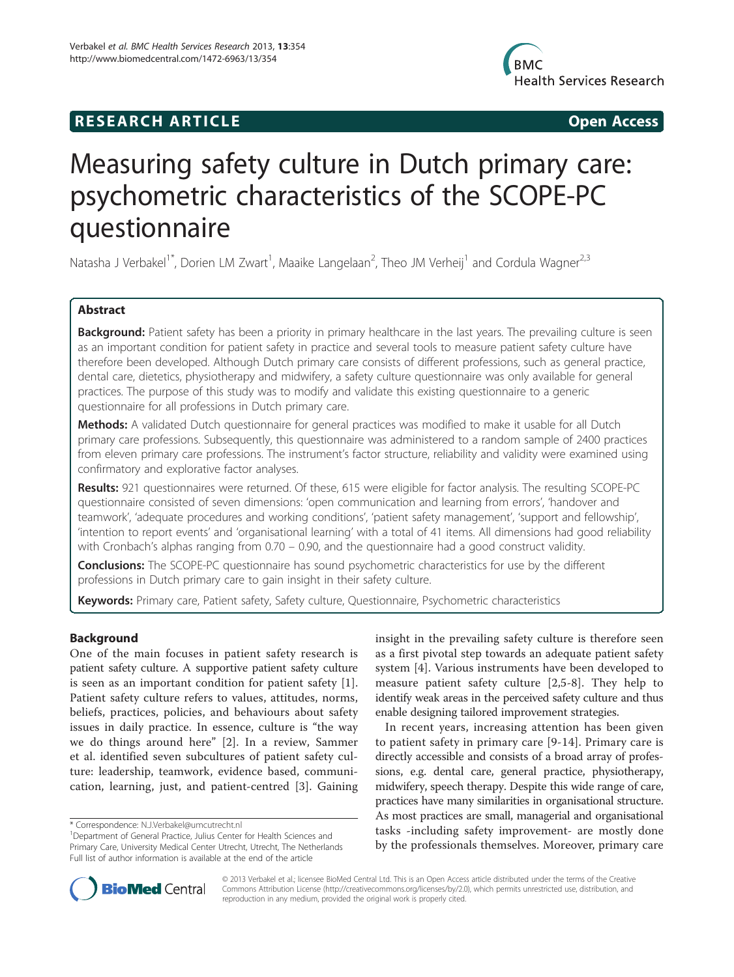# **RESEARCH ARTICLE Example 2014 CONSIDERING CONSIDERING CONSIDERING CONSIDERING CONSIDERING CONSIDERING CONSIDERING CONSIDERING CONSIDERING CONSIDERING CONSIDERING CONSIDERING CONSIDERING CONSIDERING CONSIDERING CONSIDE**



# Measuring safety culture in Dutch primary care: psychometric characteristics of the SCOPE-PC questionnaire

Natasha J Verbakel<sup>1\*</sup>, Dorien LM Zwart<sup>1</sup>, Maaike Langelaan<sup>2</sup>, Theo JM Verheij<sup>1</sup> and Cordula Wagner<sup>2,3</sup>

# Abstract

Background: Patient safety has been a priority in primary healthcare in the last years. The prevailing culture is seen as an important condition for patient safety in practice and several tools to measure patient safety culture have therefore been developed. Although Dutch primary care consists of different professions, such as general practice, dental care, dietetics, physiotherapy and midwifery, a safety culture questionnaire was only available for general practices. The purpose of this study was to modify and validate this existing questionnaire to a generic questionnaire for all professions in Dutch primary care.

Methods: A validated Dutch questionnaire for general practices was modified to make it usable for all Dutch primary care professions. Subsequently, this questionnaire was administered to a random sample of 2400 practices from eleven primary care professions. The instrument's factor structure, reliability and validity were examined using confirmatory and explorative factor analyses.

Results: 921 questionnaires were returned. Of these, 615 were eligible for factor analysis. The resulting SCOPE-PC questionnaire consisted of seven dimensions: 'open communication and learning from errors', 'handover and teamwork', 'adequate procedures and working conditions', 'patient safety management', 'support and fellowship', 'intention to report events' and 'organisational learning' with a total of 41 items. All dimensions had good reliability with Cronbach's alphas ranging from 0.70 – 0.90, and the questionnaire had a good construct validity.

**Conclusions:** The SCOPE-PC questionnaire has sound psychometric characteristics for use by the different professions in Dutch primary care to gain insight in their safety culture.

Keywords: Primary care, Patient safety, Safety culture, Questionnaire, Psychometric characteristics

# Background

One of the main focuses in patient safety research is patient safety culture. A supportive patient safety culture is seen as an important condition for patient safety [\[1](#page-6-0)]. Patient safety culture refers to values, attitudes, norms, beliefs, practices, policies, and behaviours about safety issues in daily practice. In essence, culture is "the way we do things around here" [\[2](#page-6-0)]. In a review, Sammer et al. identified seven subcultures of patient safety culture: leadership, teamwork, evidence based, communication, learning, just, and patient-centred [[3\]](#page-6-0). Gaining

insight in the prevailing safety culture is therefore seen as a first pivotal step towards an adequate patient safety system [\[4](#page-6-0)]. Various instruments have been developed to measure patient safety culture [[2,5](#page-6-0)-[8\]](#page-6-0). They help to identify weak areas in the perceived safety culture and thus enable designing tailored improvement strategies.

In recent years, increasing attention has been given to patient safety in primary care [\[9](#page-7-0)-[14](#page-7-0)]. Primary care is directly accessible and consists of a broad array of professions, e.g. dental care, general practice, physiotherapy, midwifery, speech therapy. Despite this wide range of care, practices have many similarities in organisational structure. As most practices are small, managerial and organisational tasks -including safety improvement- are mostly done by the professionals themselves. Moreover, primary care



© 2013 Verbakel et al.; licensee BioMed Central Ltd. This is an Open Access article distributed under the terms of the Creative Commons Attribution License [\(http://creativecommons.org/licenses/by/2.0\)](http://creativecommons.org/licenses/by/2.0), which permits unrestricted use, distribution, and reproduction in any medium, provided the original work is properly cited.

<sup>\*</sup> Correspondence: [N.J.Verbakel@umcutrecht.nl](mailto:N.J.Verbakel@umcutrecht.nl) <sup>1</sup>

<sup>&</sup>lt;sup>1</sup>Department of General Practice, Julius Center for Health Sciences and Primary Care, University Medical Center Utrecht, Utrecht, The Netherlands Full list of author information is available at the end of the article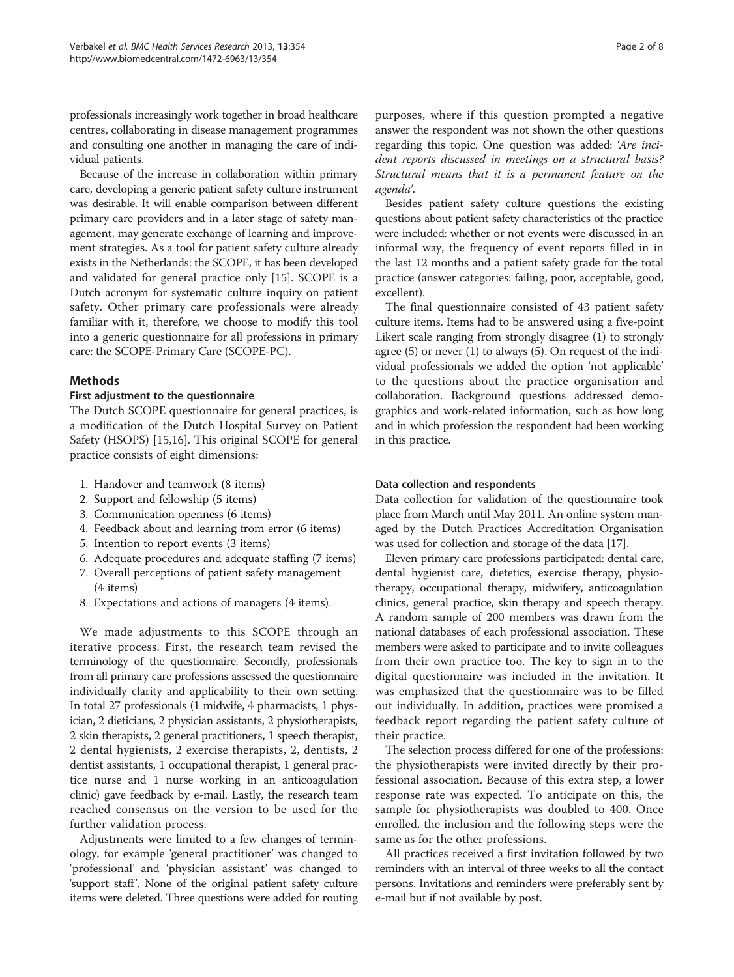professionals increasingly work together in broad healthcare centres, collaborating in disease management programmes and consulting one another in managing the care of individual patients.

Because of the increase in collaboration within primary care, developing a generic patient safety culture instrument was desirable. It will enable comparison between different primary care providers and in a later stage of safety management, may generate exchange of learning and improvement strategies. As a tool for patient safety culture already exists in the Netherlands: the SCOPE, it has been developed and validated for general practice only [\[15\]](#page-7-0). SCOPE is a Dutch acronym for systematic culture inquiry on patient safety. Other primary care professionals were already familiar with it, therefore, we choose to modify this tool into a generic questionnaire for all professions in primary care: the SCOPE-Primary Care (SCOPE-PC).

# Methods

# First adjustment to the questionnaire

The Dutch SCOPE questionnaire for general practices, is a modification of the Dutch Hospital Survey on Patient Safety (HSOPS) [\[15,16](#page-7-0)]. This original SCOPE for general practice consists of eight dimensions:

- 1. Handover and teamwork (8 items)
- 2. Support and fellowship (5 items)
- 3. Communication openness (6 items)
- 4. Feedback about and learning from error (6 items)
- 5. Intention to report events (3 items)
- 6. Adequate procedures and adequate staffing (7 items)
- 7. Overall perceptions of patient safety management (4 items)
- 8. Expectations and actions of managers (4 items).

We made adjustments to this SCOPE through an iterative process. First, the research team revised the terminology of the questionnaire. Secondly, professionals from all primary care professions assessed the questionnaire individually clarity and applicability to their own setting. In total 27 professionals (1 midwife, 4 pharmacists, 1 physician, 2 dieticians, 2 physician assistants, 2 physiotherapists, 2 skin therapists, 2 general practitioners, 1 speech therapist, 2 dental hygienists, 2 exercise therapists, 2, dentists, 2 dentist assistants, 1 occupational therapist, 1 general practice nurse and 1 nurse working in an anticoagulation clinic) gave feedback by e-mail. Lastly, the research team reached consensus on the version to be used for the further validation process.

Adjustments were limited to a few changes of terminology, for example 'general practitioner' was changed to 'professional' and 'physician assistant' was changed to 'support staff'. None of the original patient safety culture items were deleted. Three questions were added for routing purposes, where if this question prompted a negative answer the respondent was not shown the other questions

regarding this topic. One question was added: 'Are incident reports discussed in meetings on a structural basis? Structural means that it is a permanent feature on the agenda'.

Besides patient safety culture questions the existing questions about patient safety characteristics of the practice were included: whether or not events were discussed in an informal way, the frequency of event reports filled in in the last 12 months and a patient safety grade for the total practice (answer categories: failing, poor, acceptable, good, excellent).

The final questionnaire consisted of 43 patient safety culture items. Items had to be answered using a five-point Likert scale ranging from strongly disagree (1) to strongly agree (5) or never (1) to always (5). On request of the individual professionals we added the option 'not applicable' to the questions about the practice organisation and collaboration. Background questions addressed demographics and work-related information, such as how long and in which profession the respondent had been working in this practice.

# Data collection and respondents

Data collection for validation of the questionnaire took place from March until May 2011. An online system managed by the Dutch Practices Accreditation Organisation was used for collection and storage of the data [[17](#page-7-0)].

Eleven primary care professions participated: dental care, dental hygienist care, dietetics, exercise therapy, physiotherapy, occupational therapy, midwifery, anticoagulation clinics, general practice, skin therapy and speech therapy. A random sample of 200 members was drawn from the national databases of each professional association. These members were asked to participate and to invite colleagues from their own practice too. The key to sign in to the digital questionnaire was included in the invitation. It was emphasized that the questionnaire was to be filled out individually. In addition, practices were promised a feedback report regarding the patient safety culture of their practice.

The selection process differed for one of the professions: the physiotherapists were invited directly by their professional association. Because of this extra step, a lower response rate was expected. To anticipate on this, the sample for physiotherapists was doubled to 400. Once enrolled, the inclusion and the following steps were the same as for the other professions.

All practices received a first invitation followed by two reminders with an interval of three weeks to all the contact persons. Invitations and reminders were preferably sent by e-mail but if not available by post.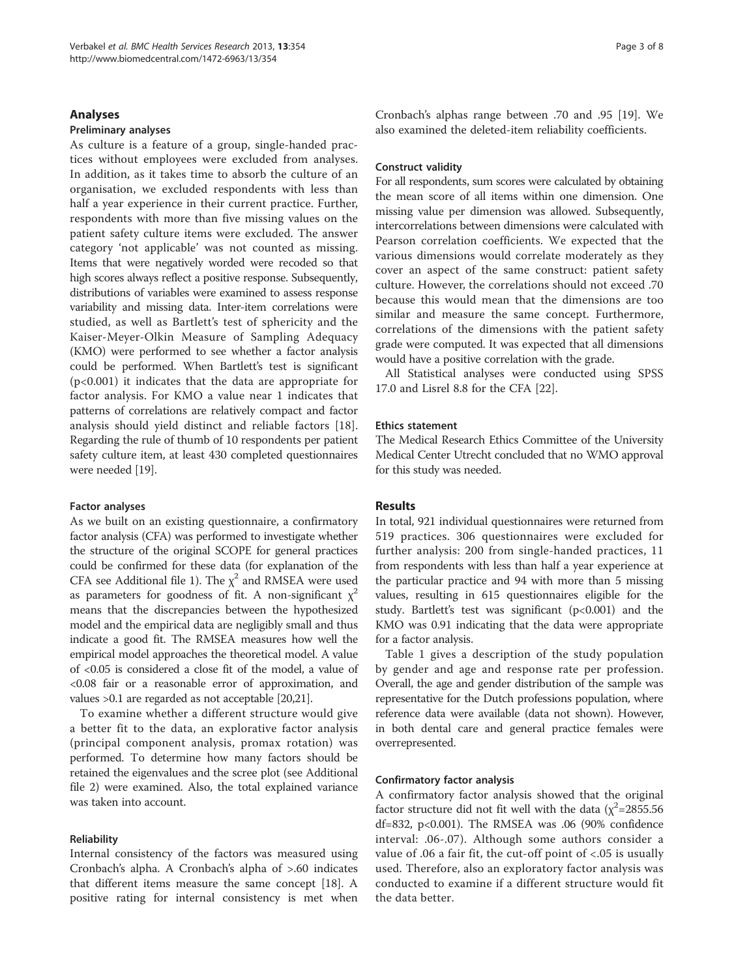# Analyses

# Preliminary analyses

As culture is a feature of a group, single-handed practices without employees were excluded from analyses. In addition, as it takes time to absorb the culture of an organisation, we excluded respondents with less than half a year experience in their current practice. Further, respondents with more than five missing values on the patient safety culture items were excluded. The answer category 'not applicable' was not counted as missing. Items that were negatively worded were recoded so that high scores always reflect a positive response. Subsequently, distributions of variables were examined to assess response variability and missing data. Inter-item correlations were studied, as well as Bartlett's test of sphericity and the Kaiser-Meyer-Olkin Measure of Sampling Adequacy (KMO) were performed to see whether a factor analysis could be performed. When Bartlett's test is significant (p<0.001) it indicates that the data are appropriate for factor analysis. For KMO a value near 1 indicates that patterns of correlations are relatively compact and factor analysis should yield distinct and reliable factors [\[18](#page-7-0)]. Regarding the rule of thumb of 10 respondents per patient safety culture item, at least 430 completed questionnaires were needed [[19](#page-7-0)].

#### Factor analyses

As we built on an existing questionnaire, a confirmatory factor analysis (CFA) was performed to investigate whether the structure of the original SCOPE for general practices could be confirmed for these data (for explanation of the CFA see Additional file [1](#page-6-0)). The  $\chi^2$  and RMSEA were used as parameters for goodness of fit. A non-significant  $\chi^2$ means that the discrepancies between the hypothesized model and the empirical data are negligibly small and thus indicate a good fit. The RMSEA measures how well the empirical model approaches the theoretical model. A value of <0.05 is considered a close fit of the model, a value of <0.08 fair or a reasonable error of approximation, and values >0.1 are regarded as not acceptable [[20,21\]](#page-7-0).

To examine whether a different structure would give a better fit to the data, an explorative factor analysis (principal component analysis, promax rotation) was performed. To determine how many factors should be retained the eigenvalues and the scree plot (see Additional file [2\)](#page-6-0) were examined. Also, the total explained variance was taken into account.

#### Reliability

Internal consistency of the factors was measured using Cronbach's alpha. A Cronbach's alpha of >.60 indicates that different items measure the same concept [[18\]](#page-7-0). A positive rating for internal consistency is met when

Cronbach's alphas range between .70 and .95 [[19\]](#page-7-0). We also examined the deleted-item reliability coefficients.

# Construct validity

For all respondents, sum scores were calculated by obtaining the mean score of all items within one dimension. One missing value per dimension was allowed. Subsequently, intercorrelations between dimensions were calculated with Pearson correlation coefficients. We expected that the various dimensions would correlate moderately as they cover an aspect of the same construct: patient safety culture. However, the correlations should not exceed .70 because this would mean that the dimensions are too similar and measure the same concept. Furthermore, correlations of the dimensions with the patient safety grade were computed. It was expected that all dimensions would have a positive correlation with the grade.

All Statistical analyses were conducted using SPSS 17.0 and Lisrel 8.8 for the CFA [[22](#page-7-0)].

#### Ethics statement

The Medical Research Ethics Committee of the University Medical Center Utrecht concluded that no WMO approval for this study was needed.

# Results

In total, 921 individual questionnaires were returned from 519 practices. 306 questionnaires were excluded for further analysis: 200 from single-handed practices, 11 from respondents with less than half a year experience at the particular practice and 94 with more than 5 missing values, resulting in 615 questionnaires eligible for the study. Bartlett's test was significant (p<0.001) and the KMO was 0.91 indicating that the data were appropriate for a factor analysis.

Table [1](#page-3-0) gives a description of the study population by gender and age and response rate per profession. Overall, the age and gender distribution of the sample was representative for the Dutch professions population, where reference data were available (data not shown). However, in both dental care and general practice females were overrepresented.

# Confirmatory factor analysis

A confirmatory factor analysis showed that the original factor structure did not fit well with the data ( $\chi^2$ =2855.56 df=832, p<0.001). The RMSEA was .06 (90% confidence interval: .06-.07). Although some authors consider a value of .06 a fair fit, the cut-off point of <.05 is usually used. Therefore, also an exploratory factor analysis was conducted to examine if a different structure would fit the data better.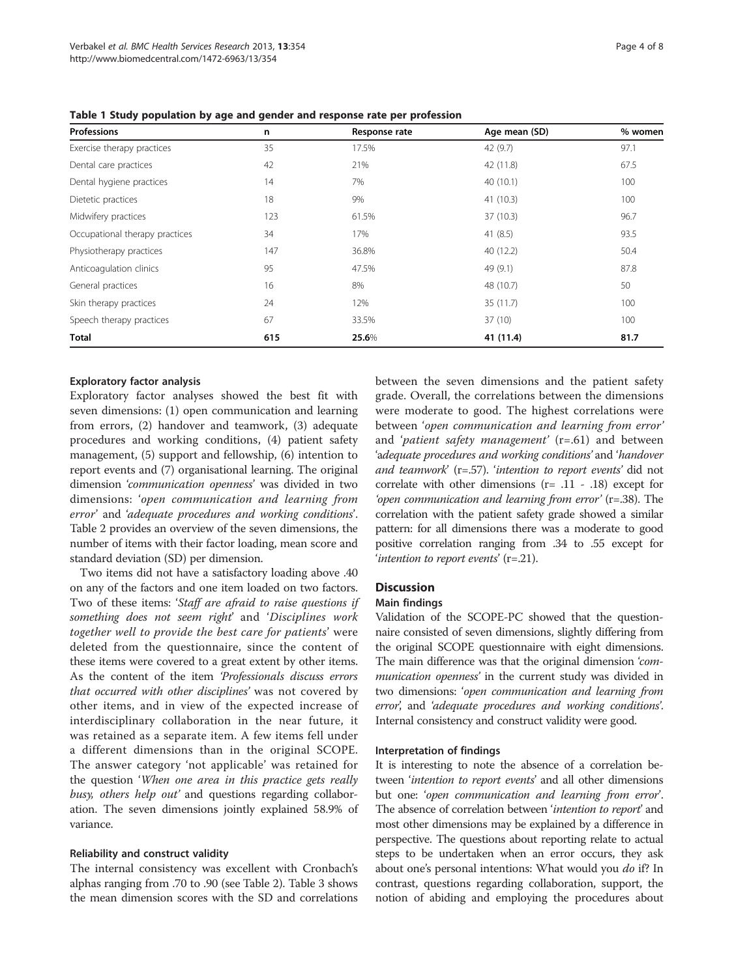| Professions                    | n   | Response rate | Age mean (SD) | % women |
|--------------------------------|-----|---------------|---------------|---------|
| Exercise therapy practices     | 35  | 17.5%         | 42(9.7)       | 97.1    |
| Dental care practices          | 42  | 21%           | 42 (11.8)     | 67.5    |
| Dental hygiene practices       | 14  | 7%            | 40(10.1)      | 100     |
| Dietetic practices             | 18  | 9%            | 41 (10.3)     | 100     |
| Midwifery practices            | 123 | 61.5%         | 37(10.3)      | 96.7    |
| Occupational therapy practices | 34  | 17%           | 41 $(8.5)$    | 93.5    |
| Physiotherapy practices        | 147 | 36.8%         | 40 (12.2)     | 50.4    |
| Anticoagulation clinics        | 95  | 47.5%         | 49 (9.1)      | 87.8    |
| General practices              | 16  | 8%            | 48 (10.7)     | 50      |
| Skin therapy practices         | 24  | 12%           | 35 (11.7)     | 100     |
| Speech therapy practices       | 67  | 33.5%         | 37(10)        | 100     |
| Total                          | 615 | 25.6%         | 41 (11.4)     | 81.7    |

<span id="page-3-0"></span>Table 1 Study population by age and gender and response rate per profession

# Exploratory factor analysis

Exploratory factor analyses showed the best fit with seven dimensions: (1) open communication and learning from errors, (2) handover and teamwork, (3) adequate procedures and working conditions, (4) patient safety management, (5) support and fellowship, (6) intention to report events and (7) organisational learning. The original dimension 'communication openness' was divided in two dimensions: 'open communication and learning from error' and 'adequate procedures and working conditions'. Table [2](#page-4-0) provides an overview of the seven dimensions, the number of items with their factor loading, mean score and standard deviation (SD) per dimension.

Two items did not have a satisfactory loading above .40 on any of the factors and one item loaded on two factors. Two of these items: 'Staff are afraid to raise questions if something does not seem right' and 'Disciplines work together well to provide the best care for patients' were deleted from the questionnaire, since the content of these items were covered to a great extent by other items. As the content of the item 'Professionals discuss errors that occurred with other disciplines' was not covered by other items, and in view of the expected increase of interdisciplinary collaboration in the near future, it was retained as a separate item. A few items fell under a different dimensions than in the original SCOPE. The answer category 'not applicable' was retained for the question 'When one area in this practice gets really busy, others help out' and questions regarding collaboration. The seven dimensions jointly explained 58.9% of variance.

#### Reliability and construct validity

The internal consistency was excellent with Cronbach's alphas ranging from .70 to .90 (see Table [2](#page-4-0)). Table [3](#page-5-0) shows the mean dimension scores with the SD and correlations between the seven dimensions and the patient safety grade. Overall, the correlations between the dimensions were moderate to good. The highest correlations were between 'open communication and learning from error' and 'patient safety management'  $(r=.61)$  and between 'adequate procedures and working conditions' and 'handover and teamwork' (r=.57). 'intention to report events' did not correlate with other dimensions (r= .11 - .18) except for 'open communication and learning from error' (r=.38). The correlation with the patient safety grade showed a similar pattern: for all dimensions there was a moderate to good positive correlation ranging from .34 to .55 except for 'intention to report events'  $(r=.21)$ .

# **Discussion**

#### Main findings

Validation of the SCOPE-PC showed that the questionnaire consisted of seven dimensions, slightly differing from the original SCOPE questionnaire with eight dimensions. The main difference was that the original dimension 'communication openness' in the current study was divided in two dimensions: 'open communication and learning from error', and 'adequate procedures and working conditions'. Internal consistency and construct validity were good.

#### Interpretation of findings

It is interesting to note the absence of a correlation between 'intention to report events' and all other dimensions but one: 'open communication and learning from error'. The absence of correlation between *'intention to report'* and most other dimensions may be explained by a difference in perspective. The questions about reporting relate to actual steps to be undertaken when an error occurs, they ask about one's personal intentions: What would you *do* if? In contrast, questions regarding collaboration, support, the notion of abiding and employing the procedures about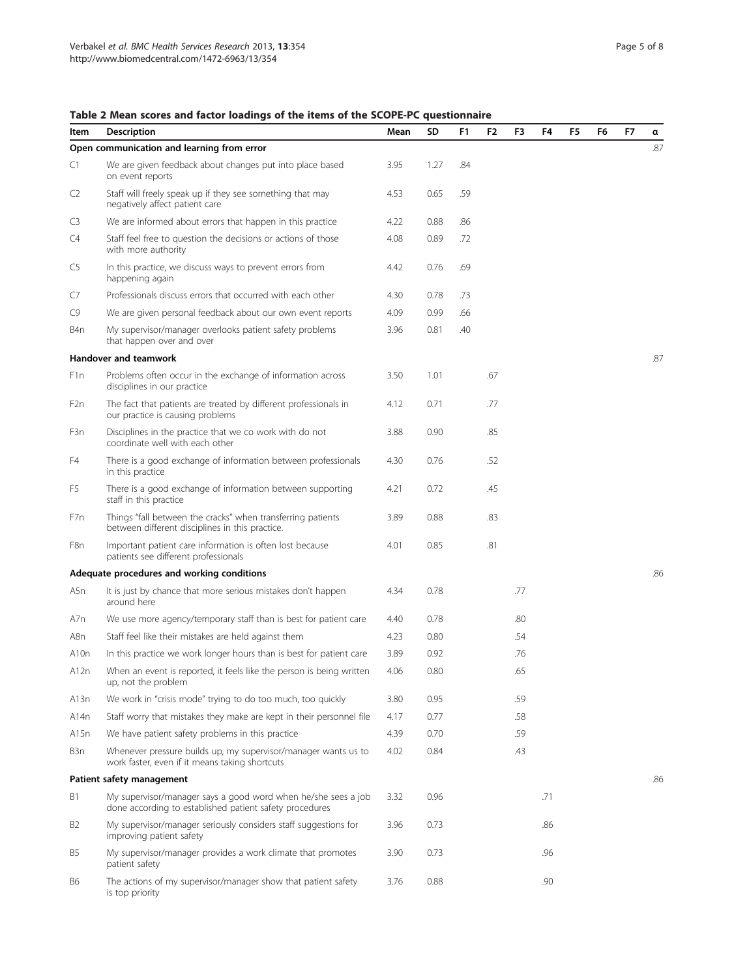# <span id="page-4-0"></span>Table 2 Mean scores and factor loadings of the items of the SCOPE-PC questionnaire

| Item           | Description                                                                                                              | Mean | SD   | F1  | F <sub>2</sub> | F3  | F4  | F <sub>5</sub> | F <sub>6</sub> | F7 | α   |
|----------------|--------------------------------------------------------------------------------------------------------------------------|------|------|-----|----------------|-----|-----|----------------|----------------|----|-----|
|                | Open communication and learning from error                                                                               |      |      |     |                |     |     |                |                |    | .87 |
| C1             | We are given feedback about changes put into place based<br>on event reports                                             | 3.95 | 1.27 | .84 |                |     |     |                |                |    |     |
| C2             | Staff will freely speak up if they see something that may<br>negatively affect patient care                              | 4.53 | 0.65 | .59 |                |     |     |                |                |    |     |
| C3             | We are informed about errors that happen in this practice                                                                | 4.22 | 0.88 | .86 |                |     |     |                |                |    |     |
| C4             | Staff feel free to question the decisions or actions of those<br>with more authority                                     | 4.08 | 0.89 | .72 |                |     |     |                |                |    |     |
| C5             | In this practice, we discuss ways to prevent errors from<br>happening again                                              | 4.42 | 0.76 | .69 |                |     |     |                |                |    |     |
| C7             | Professionals discuss errors that occurred with each other                                                               | 4.30 | 0.78 | .73 |                |     |     |                |                |    |     |
| C9             | We are given personal feedback about our own event reports                                                               | 4.09 | 0.99 | .66 |                |     |     |                |                |    |     |
| B4n            | My supervisor/manager overlooks patient safety problems<br>that happen over and over                                     |      | 0.81 | .40 |                |     |     |                |                |    |     |
|                | Handover and teamwork                                                                                                    |      |      |     |                |     |     |                |                |    | .87 |
| F1n            | Problems often occur in the exchange of information across<br>disciplines in our practice                                | 3.50 | 1.01 |     | .67            |     |     |                |                |    |     |
| F2n            | The fact that patients are treated by different professionals in<br>our practice is causing problems                     | 4.12 | 0.71 |     | .77            |     |     |                |                |    |     |
| F3n            | Disciplines in the practice that we co work with do not<br>coordinate well with each other                               | 3.88 | 0.90 |     | .85            |     |     |                |                |    |     |
| F4             | There is a good exchange of information between professionals<br>in this practice                                        | 4.30 | 0.76 |     | .52            |     |     |                |                |    |     |
| F5             | There is a good exchange of information between supporting<br>staff in this practice                                     | 4.21 | 0.72 |     | .45            |     |     |                |                |    |     |
| F7n            | Things "fall between the cracks" when transferring patients<br>between different disciplines in this practice.           | 3.89 | 0.88 |     | .83            |     |     |                |                |    |     |
| F8n            | Important patient care information is often lost because<br>patients see different professionals                         | 4.01 | 0.85 |     | .81            |     |     |                |                |    |     |
|                | Adequate procedures and working conditions                                                                               |      |      |     |                |     |     |                |                |    | .86 |
| A5n            | It is just by chance that more serious mistakes don't happen<br>around here                                              | 4.34 | 0.78 |     |                | .77 |     |                |                |    |     |
| A7n            | We use more agency/temporary staff than is best for patient care                                                         | 4.40 | 0.78 |     |                | .80 |     |                |                |    |     |
| A8n            | Staff feel like their mistakes are held against them                                                                     | 4.23 | 0.80 |     |                | .54 |     |                |                |    |     |
| A10n           | In this practice we work longer hours than is best for patient care                                                      | 3.89 | 0.92 |     |                | .76 |     |                |                |    |     |
| A12n           | When an event is reported, it feels like the person is being written<br>up, not the problem                              | 4.06 | 0.80 |     |                | .65 |     |                |                |    |     |
| A13n           | We work in "crisis mode" trying to do too much, too quickly                                                              | 3.80 | 0.95 |     |                | .59 |     |                |                |    |     |
| A14n           | Staff worry that mistakes they make are kept in their personnel file                                                     | 4.17 | 0.77 |     |                | .58 |     |                |                |    |     |
| A15n           | We have patient safety problems in this practice                                                                         | 4.39 | 0.70 |     |                | .59 |     |                |                |    |     |
| B3n            | Whenever pressure builds up, my supervisor/manager wants us to<br>work faster, even if it means taking shortcuts         | 4.02 | 0.84 |     |                | .43 |     |                |                |    |     |
|                | Patient safety management                                                                                                |      |      |     |                |     |     |                |                |    | .86 |
| Β1             | My supervisor/manager says a good word when he/she sees a job<br>done according to established patient safety procedures | 3.32 | 0.96 |     |                |     | .71 |                |                |    |     |
| B <sub>2</sub> | My supervisor/manager seriously considers staff suggestions for<br>improving patient safety                              | 3.96 | 0.73 |     |                |     | .86 |                |                |    |     |
| B5             | My supervisor/manager provides a work climate that promotes<br>patient safety                                            | 3.90 | 0.73 |     |                |     | .96 |                |                |    |     |
| <b>B6</b>      | The actions of my supervisor/manager show that patient safety<br>is top priority                                         | 3.76 | 0.88 |     |                |     | .90 |                |                |    |     |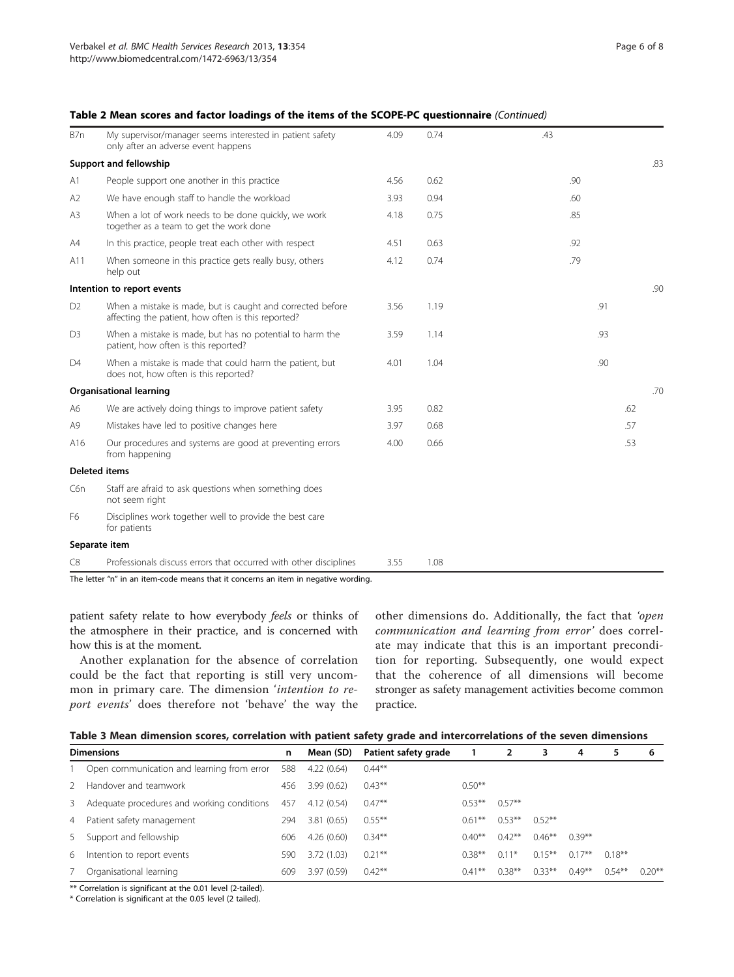| B7n            | My supervisor/manager seems interested in patient safety<br>only after an adverse event happens                  | 4.09 | 0.74 | .43 |     |
|----------------|------------------------------------------------------------------------------------------------------------------|------|------|-----|-----|
|                | Support and fellowship                                                                                           |      |      |     | .83 |
| A1             | People support one another in this practice                                                                      | 4.56 | 0.62 | .90 |     |
| A2             | We have enough staff to handle the workload                                                                      | 3.93 | 0.94 | .60 |     |
| A <sub>3</sub> | When a lot of work needs to be done quickly, we work<br>together as a team to get the work done                  | 4.18 | 0.75 | .85 |     |
| A4             | In this practice, people treat each other with respect                                                           | 4.51 | 0.63 | .92 |     |
| A11            | When someone in this practice gets really busy, others<br>help out                                               | 4.12 | 0.74 | .79 |     |
|                | Intention to report events                                                                                       |      |      |     | .90 |
| D <sub>2</sub> | When a mistake is made, but is caught and corrected before<br>affecting the patient, how often is this reported? | 3.56 | 1.19 | .91 |     |
| D <sub>3</sub> | When a mistake is made, but has no potential to harm the<br>patient, how often is this reported?                 | 3.59 | 1.14 | .93 |     |
| D <sub>4</sub> | When a mistake is made that could harm the patient, but<br>does not, how often is this reported?                 | 4.01 | 1.04 | .90 |     |
|                | <b>Organisational learning</b>                                                                                   |      |      |     | .70 |
| A6             | We are actively doing things to improve patient safety                                                           | 3.95 | 0.82 |     | .62 |
| A9             | Mistakes have led to positive changes here                                                                       | 3.97 | 0.68 |     | .57 |
| A16            | Our procedures and systems are good at preventing errors<br>from happening                                       | 4.00 | 0.66 |     | .53 |
|                | <b>Deleted items</b>                                                                                             |      |      |     |     |
| C6n            | Staff are afraid to ask questions when something does<br>not seem right                                          |      |      |     |     |
| F6             | Disciplines work together well to provide the best care<br>for patients                                          |      |      |     |     |
|                | Separate item                                                                                                    |      |      |     |     |
| C8             | Professionals discuss errors that occurred with other disciplines                                                | 3.55 | 1.08 |     |     |

# <span id="page-5-0"></span>Table 2 Mean scores and factor loadings of the items of the SCOPE-PC questionnaire (Continued)

patient safety relate to how everybody feels or thinks of the atmosphere in their practice, and is concerned with

how this is at the moment. Another explanation for the absence of correlation could be the fact that reporting is still very uncommon in primary care. The dimension *'intention to re*port events' does therefore not 'behave' the way the

other dimensions do. Additionally, the fact that 'open communication and learning from error' does correlate may indicate that this is an important precondition for reporting. Subsequently, one would expect that the coherence of all dimensions will become stronger as safety management activities become common practice.

|  | Table 3 Mean dimension scores, correlation with patient safety grade and intercorrelations of the seven dimensions |  |
|--|--------------------------------------------------------------------------------------------------------------------|--|
|  |                                                                                                                    |  |

| <b>Dimensions</b> |                                            | n   | Mean (SD)  | Patient safety grade |           |           | 3         | 4         | 5         | 6         |
|-------------------|--------------------------------------------|-----|------------|----------------------|-----------|-----------|-----------|-----------|-----------|-----------|
|                   | Open communication and learning from error | 588 | 4.22(0.64) | $0.44***$            |           |           |           |           |           |           |
|                   | Handover and teamwork                      | 456 | 3.99(0.62) | $0.43***$            | $0.50**$  |           |           |           |           |           |
| 3                 | Adequate procedures and working conditions | 457 | 4.12(0.54) | $0.47***$            | $0.53***$ | $0.57***$ |           |           |           |           |
| 4                 | Patient safety management                  | 294 | 3.81(0.65) | $0.55***$            | $0.61***$ | $0.53***$ | $0.52***$ |           |           |           |
|                   | 5 Support and fellowship                   | 606 | 4.26(0.60) | $0.34***$            | $0.40**$  | $0.42***$ | $0.46***$ | $0.39***$ |           |           |
| 6                 | Intention to report events                 | 590 | 3.72(1.03) | $0.21***$            | $0.38***$ | $0.11*$   | $0.15***$ | $0.17***$ | $0.18***$ |           |
|                   | Organisational learning                    | 609 | 3.97(0.59) | $0.42***$            | $0.41***$ | $0.38***$ | $0.33***$ | $0.49**$  | $0.54***$ | $0.20***$ |

\*\* Correlation is significant at the 0.01 level (2-tailed).

\* Correlation is significant at the 0.05 level (2 tailed).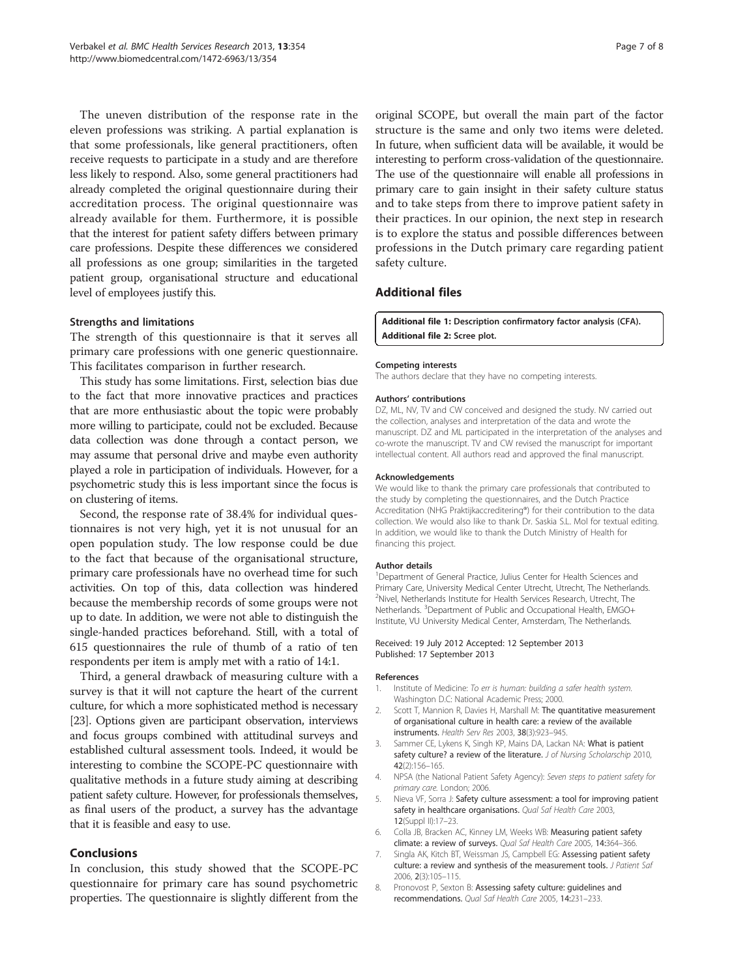<span id="page-6-0"></span>The uneven distribution of the response rate in the eleven professions was striking. A partial explanation is that some professionals, like general practitioners, often receive requests to participate in a study and are therefore less likely to respond. Also, some general practitioners had already completed the original questionnaire during their accreditation process. The original questionnaire was already available for them. Furthermore, it is possible that the interest for patient safety differs between primary care professions. Despite these differences we considered all professions as one group; similarities in the targeted patient group, organisational structure and educational level of employees justify this.

#### Strengths and limitations

The strength of this questionnaire is that it serves all primary care professions with one generic questionnaire. This facilitates comparison in further research.

This study has some limitations. First, selection bias due to the fact that more innovative practices and practices that are more enthusiastic about the topic were probably more willing to participate, could not be excluded. Because data collection was done through a contact person, we may assume that personal drive and maybe even authority played a role in participation of individuals. However, for a psychometric study this is less important since the focus is on clustering of items.

Second, the response rate of 38.4% for individual questionnaires is not very high, yet it is not unusual for an open population study. The low response could be due to the fact that because of the organisational structure, primary care professionals have no overhead time for such activities. On top of this, data collection was hindered because the membership records of some groups were not up to date. In addition, we were not able to distinguish the single-handed practices beforehand. Still, with a total of 615 questionnaires the rule of thumb of a ratio of ten respondents per item is amply met with a ratio of 14:1.

Third, a general drawback of measuring culture with a survey is that it will not capture the heart of the current culture, for which a more sophisticated method is necessary [[23](#page-7-0)]. Options given are participant observation, interviews and focus groups combined with attitudinal surveys and established cultural assessment tools. Indeed, it would be interesting to combine the SCOPE-PC questionnaire with qualitative methods in a future study aiming at describing patient safety culture. However, for professionals themselves, as final users of the product, a survey has the advantage that it is feasible and easy to use.

# Conclusions

In conclusion, this study showed that the SCOPE-PC questionnaire for primary care has sound psychometric properties. The questionnaire is slightly different from the original SCOPE, but overall the main part of the factor structure is the same and only two items were deleted. In future, when sufficient data will be available, it would be interesting to perform cross-validation of the questionnaire. The use of the questionnaire will enable all professions in primary care to gain insight in their safety culture status and to take steps from there to improve patient safety in their practices. In our opinion, the next step in research is to explore the status and possible differences between professions in the Dutch primary care regarding patient safety culture.

# Additional files

[Additional file 1:](http://www.biomedcentral.com/content/supplementary/1472-6963-13-354-S1.pdf) Description confirmatory factor analysis (CFA). [Additional file 2:](http://www.biomedcentral.com/content/supplementary/1472-6963-13-354-S2.pdf) Scree plot.

#### Competing interests

The authors declare that they have no competing interests.

#### Authors' contributions

DZ, ML, NV, TV and CW conceived and designed the study. NV carried out the collection, analyses and interpretation of the data and wrote the manuscript. DZ and ML participated in the interpretation of the analyses and co-wrote the manuscript. TV and CW revised the manuscript for important intellectual content. All authors read and approved the final manuscript.

#### Acknowledgements

We would like to thank the primary care professionals that contributed to the study by completing the questionnaires, and the Dutch Practice Accreditation (NHG Praktijkaccreditering®) for their contribution to the data collection. We would also like to thank Dr. Saskia S.L. Mol for textual editing. In addition, we would like to thank the Dutch Ministry of Health for financing this project.

#### Author details

<sup>1</sup>Department of General Practice, Julius Center for Health Sciences and Primary Care, University Medical Center Utrecht, Utrecht, The Netherlands. <sup>2</sup>Nivel, Netherlands Institute for Health Services Research, Utrecht, The Netherlands. <sup>3</sup>Department of Public and Occupational Health, EMGO+ Institute, VU University Medical Center, Amsterdam, The Netherlands.

#### Received: 19 July 2012 Accepted: 12 September 2013 Published: 17 September 2013

#### References

- Institute of Medicine: To err is human: building a safer health system. Washington D.C: National Academic Press; 2000.
- 2. Scott T, Mannion R, Davies H, Marshall M: The quantitative measurement of organisational culture in health care: a review of the available instruments. Health Serv Res 2003, 38(3):923–945.
- 3. Sammer CE, Lykens K, Singh KP, Mains DA, Lackan NA: What is patient safety culture? a review of the literature. J of Nursing Scholarschip 2010, 42(2):156–165.
- 4. NPSA (the National Patient Safety Agency): Seven steps to patient safety for primary care. London; 2006.
- Nieva VF, Sorra J: Safety culture assessment: a tool for improving patient safety in healthcare organisations. Qual Saf Health Care 2003, 12(Suppl II):17–23.
- 6. Colla JB, Bracken AC, Kinney LM, Weeks WB: Measuring patient safety climate: a review of surveys. Qual Saf Health Care 2005, 14:364–366.
- 7. Singla AK, Kitch BT, Weissman JS, Campbell EG: Assessing patient safety culture: a review and synthesis of the measurement tools. J Patient Saf 2006, 2(3):105–115.
- 8. Pronovost P, Sexton B: Assessing safety culture: guidelines and recommendations. Qual Saf Health Care 2005, 14:231–233.